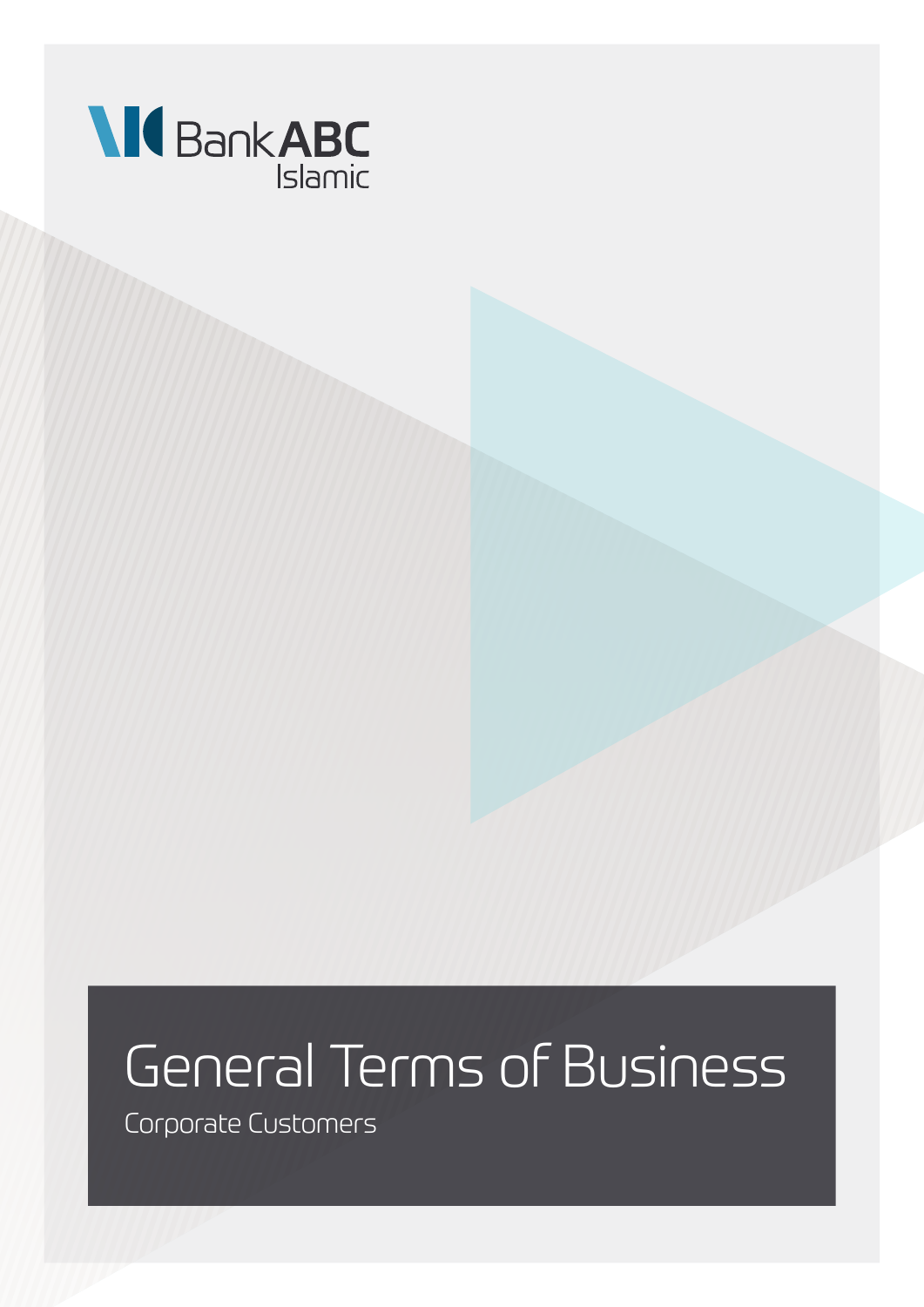

# General Terms of Business

Corporate Customers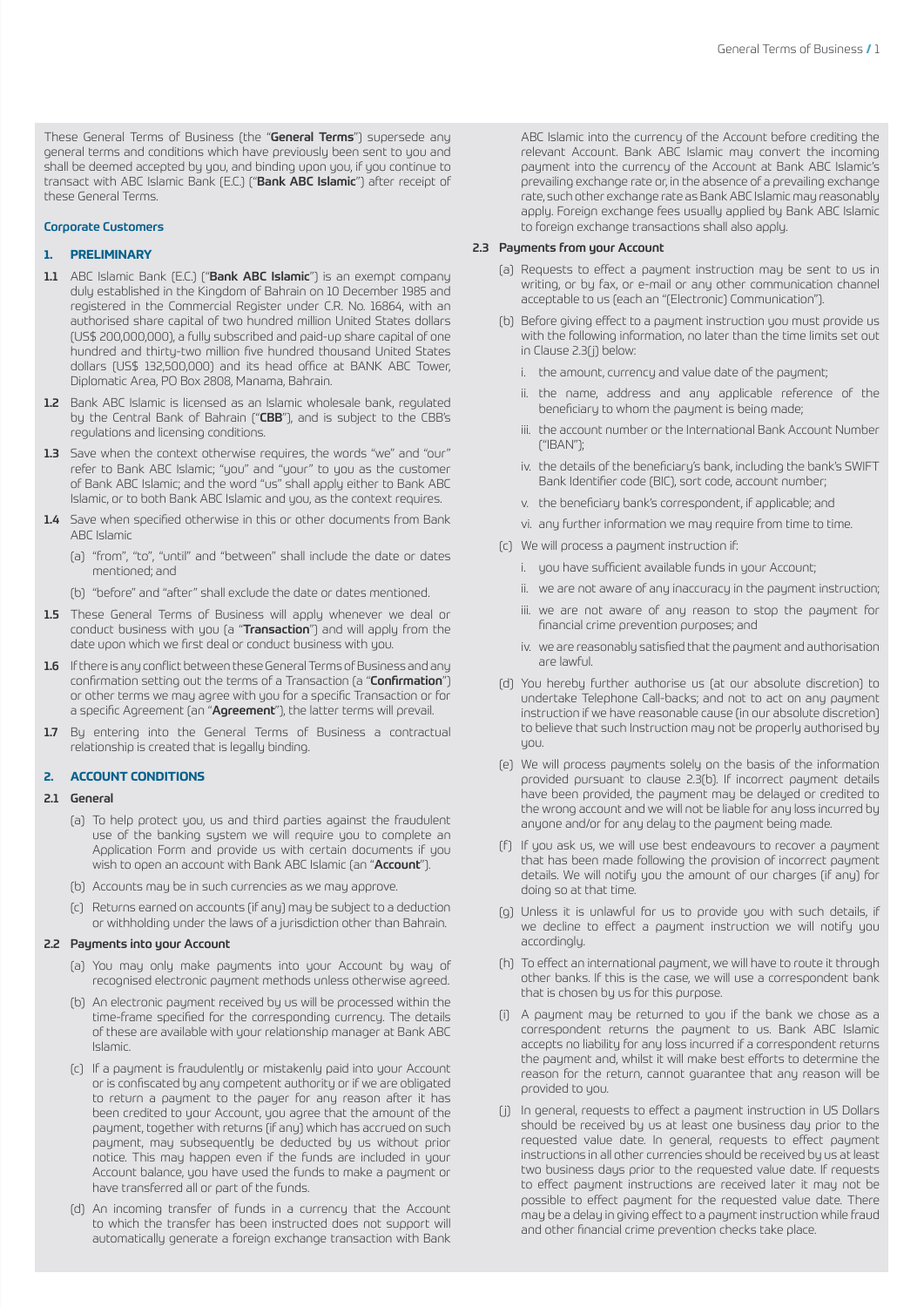These General Terms of Business (the "General Terms") supersede any general terms and conditions which have previously been sent to you and shall be deemed accepted by you, and binding upon you, if you continue to transact with ABC Islamic Bank (E.C.) ("Bank ABC Islamic") after receipt of these General Terms.

# Corporate Customers

#### **1. PRELIMINARY**

- 1.1 ABC Islamic Bank (E.C.) ("Bank ABC Islamic") is an exempt company duly established in the Kingdom of Bahrain on 10 December 1985 and registered in the Commercial Register under C.R. No. 16864, with an authorised share capital of two hundred million United States dollars (US\$ 200,000,000), a fully subscribed and paid-up share capital of one hundred and thirty-two million five hundred thousand United States dollars (US\$ 132,500,000) and its head office at BANK ABC Tower, Diplomatic Area, PO Box 2808, Manama, Bahrain.
- 1.2 Bank ABC Islamic is licensed as an Islamic wholesale bank, regulated by the Central Bank of Bahrain ("CBB"), and is subject to the CBB's regulations and licensing conditions.
- 1.3 Save when the context otherwise requires, the words "we" and "our" refer to Bank ABC Islamic; "you" and "your" to you as the customer of Bank ABC Islamic; and the word "us" shall apply either to Bank ABC Islamic, or to both Bank ABC Islamic and you, as the context requires.
- 1.4 Save when specified otherwise in this or other documents from Bank ABC Islamic
	- (a) "from", "to", "until" and "between" shall include the date or dates mentioned; and
	- (b) "before" and "after" shall exclude the date or dates mentioned.
- 1.5 These General Terms of Business will apply whenever we deal or conduct business with you (a "Transaction") and will apply from the date upon which we first deal or conduct business with you.
- 1.6 If there is any conflict between these General Terms of Business and any confirmation setting out the terms of a Transaction (a "Confirmation") or other terms we may agree with you for a specific Transaction or for a specific Agreement (an "Agreement"), the latter terms will prevail.
- 1.7 By entering into the General Terms of Business a contractual relationship is created that is legally binding.

# **2. ACCOUNT CONDITIONS**

#### 2.1 General

- (a) To help protect you, us and third parties against the fraudulent use of the banking system we will require you to complete an Application Form and provide us with certain documents if you wish to open an account with Bank ABC Islamic (an "Account").
- (b) Accounts may be in such currencies as we may approve.
- (c) Returns earned on accounts (if any) may be subject to a deduction or withholding under the laws of a jurisdiction other than Bahrain.

# 2.2 Payments into your Account

- (a) You may only make payments into your Account by way of recognised electronic payment methods unless otherwise agreed.
- (b) An electronic payment received by us will be processed within the time-frame specified for the corresponding currency. The details of these are available with your relationship manager at Bank ABC Islamic.
- (c) If a payment is fraudulently or mistakenly paid into your Account or is confiscated by any competent authority or if we are obligated to return a payment to the payer for any reason after it has been credited to your Account, you agree that the amount of the payment, together with returns (if any) which has accrued on such payment, may subsequently be deducted by us without prior notice. This may happen even if the funds are included in your Account balance, you have used the funds to make a payment or have transferred all or part of the funds.
- (d) An incoming transfer of funds in a currency that the Account to which the transfer has been instructed does not support will automatically generate a foreign exchange transaction with Bank

ABC Islamic into the currency of the Account before crediting the relevant Account. Bank ABC Islamic may convert the incoming payment into the currency of the Account at Bank ABC Islamic's prevailing exchange rate or, in the absence of a prevailing exchange rate, such other exchange rate as Bank ABC Islamic may reasonably apply. Foreign exchange fees usually applied by Bank ABC Islamic to foreign exchange transactions shall also apply.

## 2.3 Payments from your Account

- (a) Requests to effect a payment instruction may be sent to us in writing, or by fax, or e-mail or any other communication channel acceptable to us (each an "(Electronic) Communication").
- (b) Before giving effect to a payment instruction you must provide us with the following information, no later than the time limits set out in Clause 2.3(j) below:
	- i. the amount, currency and value date of the payment;
	- ii. the name, address and any applicable reference of the beneficiary to whom the payment is being made;
	- iii. the account number or the International Bank Account Number ("IBAN");
	- iv. the details of the beneficiary's bank, including the bank's SWIFT Bank Identifier code (BIC), sort code, account number;
	- v. the beneficiary bank's correspondent, if applicable; and
	- vi. any further information we may require from time to time.
- (c) We will process a payment instruction if:
	- i. you have sufficient available funds in your Account;
	- ii. we are not aware of any inaccuracy in the payment instruction;
	- iii. we are not aware of any reason to stop the payment for financial crime prevention purposes; and
	- iv. we are reasonably satisfied that the payment and authorisation are lawful.
- (d) You hereby further authorise us (at our absolute discretion) to undertake Telephone Call-backs; and not to act on any payment instruction if we have reasonable cause (in our absolute discretion) to believe that such Instruction may not be properly authorised by you.
- (e) We will process payments solely on the basis of the information provided pursuant to clause 2.3(b). If incorrect payment details have been provided, the payment may be delayed or credited to the wrong account and we will not be liable for any loss incurred by anyone and/or for any delay to the payment being made.
- (f) If you ask us, we will use best endeavours to recover a payment that has been made following the provision of incorrect payment details. We will notify you the amount of our charges (if any) for doing so at that time.
- (g) Unless it is unlawful for us to provide you with such details, if we decline to effect a payment instruction we will notify you accordingly.
- (h) To effect an international payment, we will have to route it through other banks. If this is the case, we will use a correspondent bank that is chosen by us for this purpose.
- (i) A payment may be returned to you if the bank we chose as a correspondent returns the payment to us. Bank ABC Islamic accepts no liability for any loss incurred if a correspondent returns the payment and, whilst it will make best efforts to determine the reason for the return, cannot guarantee that any reason will be provided to you.
- (j) In general, requests to effect a payment instruction in US Dollars should be received by us at least one business day prior to the requested value date. In general, requests to effect payment instructions in all other currencies should be received by us at least two business days prior to the requested value date. If requests to effect payment instructions are received later it may not be possible to effect payment for the requested value date. There may be a delay in giving effect to a payment instruction while fraud and other financial crime prevention checks take place.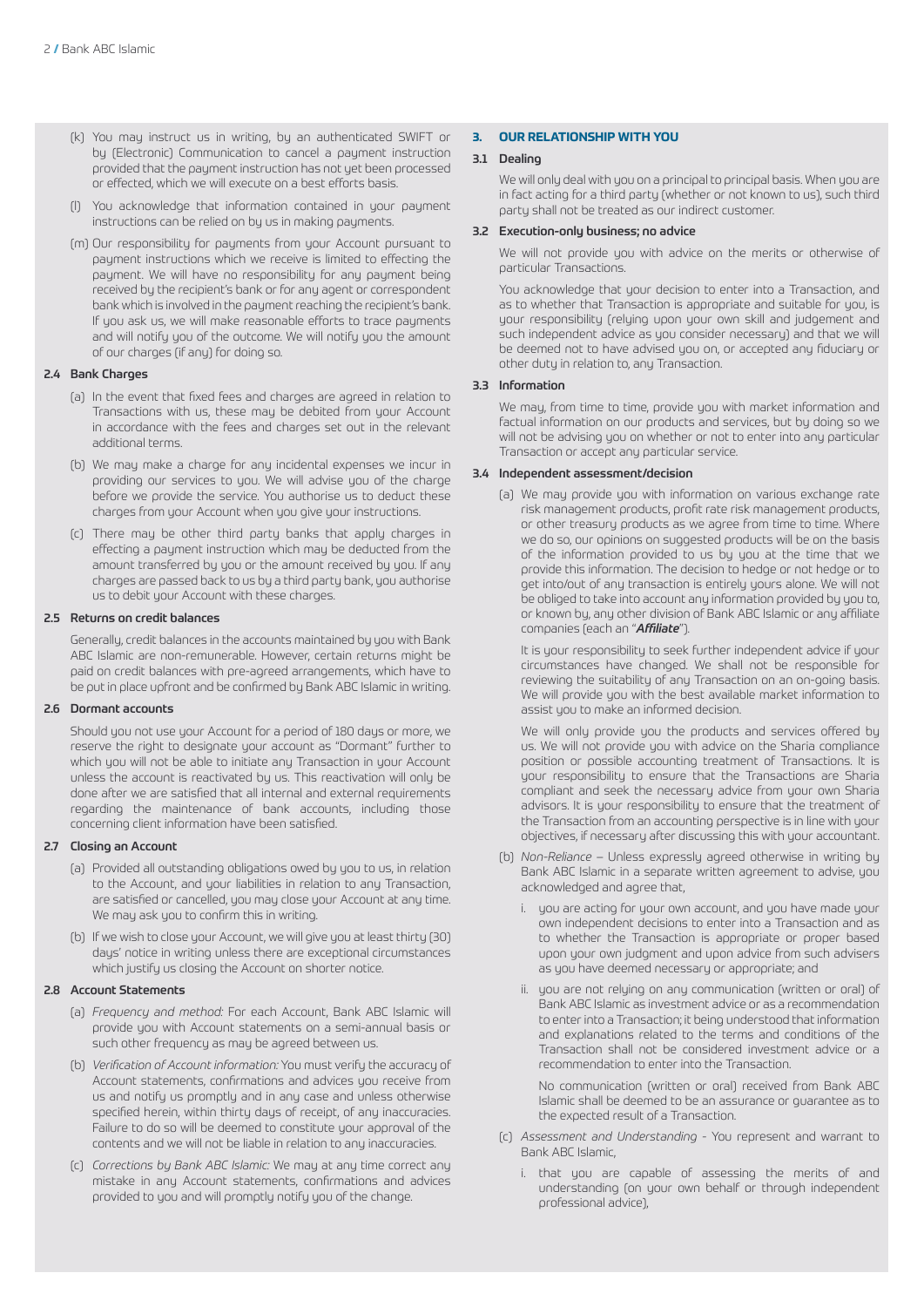- (k) You may instruct us in writing, by an authenticated SWIFT or by (Electronic) Communication to cancel a payment instruction provided that the payment instruction has not yet been processed or effected, which we will execute on a best efforts basis.
- (l) You acknowledge that information contained in your payment instructions can be relied on by us in making payments.
- (m) Our responsibility for payments from your Account pursuant to payment instructions which we receive is limited to effecting the payment. We will have no responsibility for any payment being received by the recipient's bank or for any agent or correspondent bank which is involved in the payment reaching the recipient's bank. If you ask us, we will make reasonable efforts to trace payments and will notify you of the outcome. We will notify you the amount of our charges (if any) for doing so.

## 2.4 Bank Charges

- (a) In the event that fixed fees and charges are agreed in relation to Transactions with us, these may be debited from your Account in accordance with the fees and charges set out in the relevant additional terms.
- (b) We may make a charge for any incidental expenses we incur in providing our services to you. We will advise you of the charge before we provide the service. You authorise us to deduct these charges from your Account when you give your instructions.
- (c) There may be other third party banks that apply charges in effecting a payment instruction which may be deducted from the amount transferred by you or the amount received by you. If any charges are passed back to us by a third party bank, you authorise us to debit your Account with these charges.

## 2.5 Returns on credit balances

Generally, credit balances in the accounts maintained by you with Bank ABC Islamic are non-remunerable. However, certain returns might be paid on credit balances with pre-agreed arrangements, which have to be put in place upfront and be confirmed by Bank ABC Islamic in writing.

## 2.6 Dormant accounts

Should you not use your Account for a period of 180 days or more, we reserve the right to designate your account as "Dormant" further to which you will not be able to initiate any Transaction in your Account unless the account is reactivated by us. This reactivation will only be done after we are satisfied that all internal and external requirements regarding the maintenance of bank accounts, including those concerning client information have been satisfied.

#### 2.7 Closing an Account

- (a) Provided all outstanding obligations owed by you to us, in relation to the Account, and your liabilities in relation to any Transaction, are satisfied or cancelled, you may close your Account at any time. We may ask you to confirm this in writing.
- (b) If we wish to close your Account, we will give you at least thirty (30) days' notice in writing unless there are exceptional circumstances which justify us closing the Account on shorter notice.

# 2.8 Account Statements

- (a) *Frequency and method:* For each Account, Bank ABC Islamic will provide you with Account statements on a semi-annual basis or such other frequency as may be agreed between us.
- (b) *Verification of Account information:* You must verify the accuracy of Account statements, confirmations and advices you receive from us and notify us promptly and in any case and unless otherwise specified herein, within thirty days of receipt, of any inaccuracies. Failure to do so will be deemed to constitute your approval of the contents and we will not be liable in relation to any inaccuracies.
- (c) *Corrections by Bank ABC Islamic:* We may at any time correct any mistake in any Account statements, confirmations and advices provided to you and will promptly notify you of the change.

# **3. OUR RELATIONSHIP WITH YOU**

# 3.1 Dealing

We will only deal with you on a principal to principal basis. When you are in fact acting for a third party (whether or not known to us), such third party shall not be treated as our indirect customer.

# 3.2 Execution-only business; no advice

We will not provide you with advice on the merits or otherwise of particular Transactions.

You acknowledge that your decision to enter into a Transaction, and as to whether that Transaction is appropriate and suitable for you, is your responsibility (relying upon your own skill and judgement and such independent advice as you consider necessary) and that we will be deemed not to have advised you on, or accepted any fiduciary or other duty in relation to, any Transaction.

# 3.3 Information

We may, from time to time, provide you with market information and factual information on our products and services, but by doing so we will not be advising you on whether or not to enter into any particular Transaction or accept any particular service.

#### 3.4 Independent assessment/decision

(a) We may provide you with information on various exchange rate risk management products, profit rate risk management products, or other treasury products as we agree from time to time. Where we do so, our opinions on suggested products will be on the basis of the information provided to us by you at the time that we provide this information. The decision to hedge or not hedge or to get into/out of any transaction is entirely yours alone. We will not be obliged to take into account any information provided by you to, or known by, any other division of Bank ABC Islamic or any affiliate companies (each an "*Affiliate*").

 It is your responsibility to seek further independent advice if your circumstances have changed. We shall not be responsible for reviewing the suitability of any Transaction on an on-going basis. We will provide you with the best available market information to assist you to make an informed decision.

 We will only provide you the products and services offered by us. We will not provide you with advice on the Sharia compliance position or possible accounting treatment of Transactions. It is your responsibility to ensure that the Transactions are Sharia compliant and seek the necessary advice from your own Sharia advisors. It is your responsibility to ensure that the treatment of the Transaction from an accounting perspective is in line with your objectives, if necessary after discussing this with your accountant.

- (b) *Non-Reliance* Unless expressly agreed otherwise in writing by Bank ABC Islamic in a separate written agreement to advise, you acknowledged and agree that,
	- i. you are acting for your own account, and you have made your own independent decisions to enter into a Transaction and as to whether the Transaction is appropriate or proper based upon your own judgment and upon advice from such advisers as you have deemed necessary or appropriate; and
	- ii. you are not relying on any communication (written or oral) of Bank ABC Islamic as investment advice or as a recommendation to enter into a Transaction; it being understood that information and explanations related to the terms and conditions of the Transaction shall not be considered investment advice or a recommendation to enter into the Transaction.

 No communication (written or oral) received from Bank ABC Islamic shall be deemed to be an assurance or guarantee as to the expected result of a Transaction.

- (c) *Assessment and Understanding* You represent and warrant to Bank ABC Islamic,
	- i. that you are capable of assessing the merits of and understanding (on your own behalf or through independent professional advice),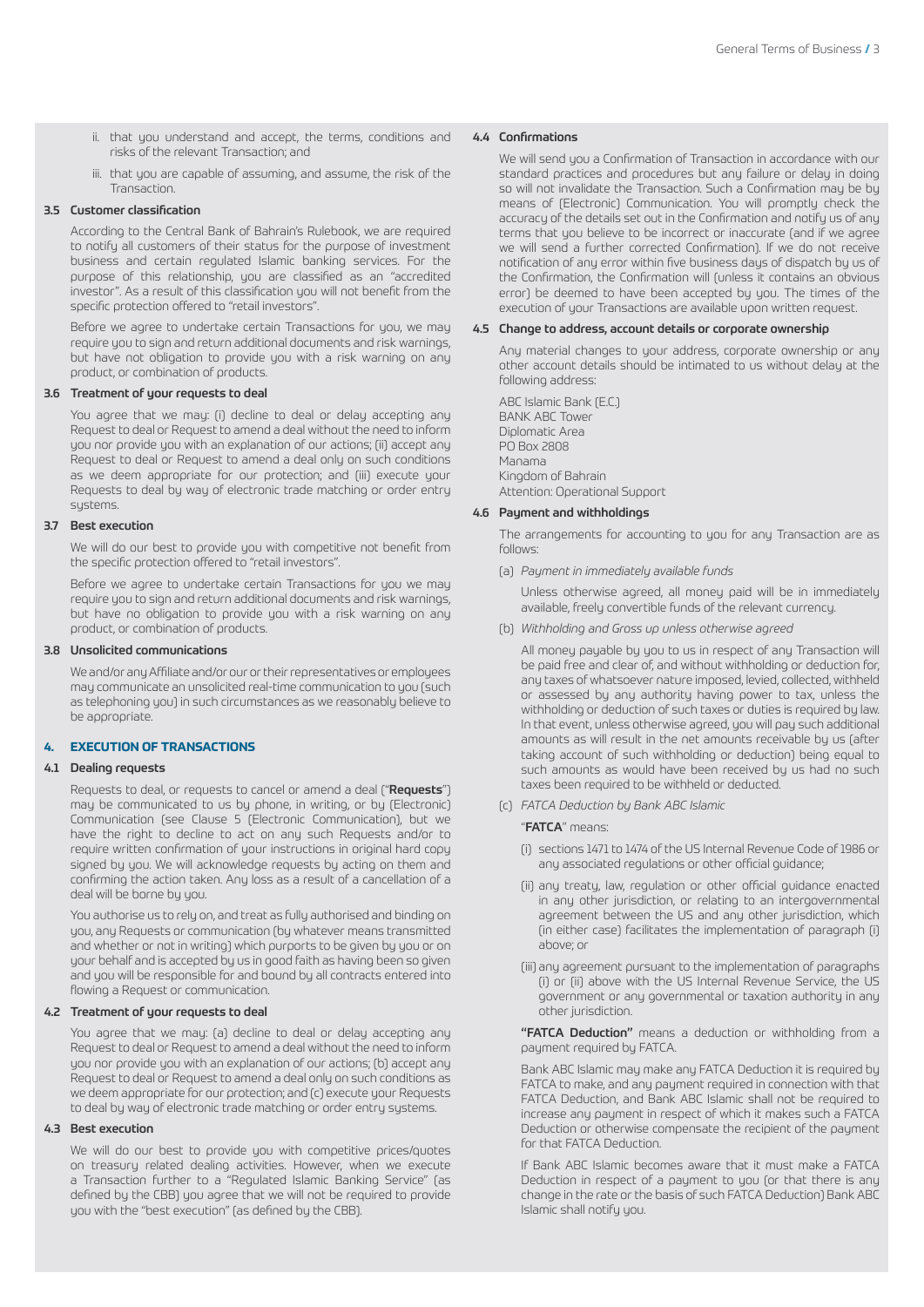- ii. that you understand and accept, the terms, conditions and risks of the relevant Transaction; and
- iii. that you are capable of assuming, and assume, the risk of the Transaction.

#### 3.5 Customer classification

According to the Central Bank of Bahrain's Rulebook, we are required to notify all customers of their status for the purpose of investment business and certain regulated Islamic banking services. For the purpose of this relationship, you are classified as an "accredited investor". As a result of this classification you will not benefit from the specific protection offered to "retail investors".

Before we agree to undertake certain Transactions for you, we may require you to sign and return additional documents and risk warnings, but have not obligation to provide you with a risk warning on any product, or combination of products.

## 3.6 Treatment of your requests to deal

You agree that we may: (i) decline to deal or delay accepting any Request to deal or Request to amend a deal without the need to inform you nor provide you with an explanation of our actions; (ii) accept any Request to deal or Request to amend a deal only on such conditions as we deem appropriate for our protection; and (iii) execute your Requests to deal by way of electronic trade matching or order entry sustems

#### 3.7 Best execution

We will do our best to provide you with competitive not benefit from the specific protection offered to "retail investors".

Before we agree to undertake certain Transactions for you we may require you to sign and return additional documents and risk warnings, but have no obligation to provide you with a risk warning on any product, or combination of products.

#### 3.8 Unsolicited communications

We and/or any Affiliate and/or our or their representatives or employees may communicate an unsolicited real-time communication to you (such as telephoning you) in such circumstances as we reasonably believe to be appropriate.

# **4. EXECUTION OF TRANSACTIONS**

#### 4.1 Dealing requests

Requests to deal, or requests to cancel or amend a deal ("Requests") may be communicated to us by phone, in writing, or by (Electronic) Communication (see Clause 5 (Electronic Communication), but we have the right to decline to act on any such Requests and/or to require written confirmation of your instructions in original hard copy signed by you. We will acknowledge requests by acting on them and confirming the action taken. Any loss as a result of a cancellation of a deal will be borne by you.

You authorise us to rely on, and treat as fully authorised and binding on you, any Requests or communication (by whatever means transmitted and whether or not in writing) which purports to be given by you or on your behalf and is accepted by us in good faith as having been so given and you will be responsible for and bound by all contracts entered into flowing a Request or communication.

## 4.2 Treatment of your requests to deal

You agree that we may: (a) decline to deal or delay accepting any Request to deal or Request to amend a deal without the need to inform you nor provide you with an explanation of our actions; (b) accept any Request to deal or Request to amend a deal only on such conditions as we deem appropriate for our protection; and (c) execute your Requests to deal by way of electronic trade matching or order entry systems.

# 4.3 Best execution

We will do our best to provide you with competitive prices/quotes on treasury related dealing activities. However, when we execute a Transaction further to a "Regulated Islamic Banking Service" (as defined by the CBB) you agree that we will not be required to provide you with the "best execution" (as defined by the CBB).

#### 4.4 Confirmations

We will send you a Confirmation of Transaction in accordance with our standard practices and procedures but any failure or delay in doing so will not invalidate the Transaction. Such a Confirmation may be by means of (Electronic) Communication. You will promptly check the accuracy of the details set out in the Confirmation and notify us of any terms that you believe to be incorrect or inaccurate (and if we agree we will send a further corrected Confirmation). If we do not receive notification of any error within five business days of dispatch by us of the Confirmation, the Confirmation will (unless it contains an obvious error) be deemed to have been accepted by you. The times of the execution of your Transactions are available upon written request.

#### 4.5 Change to address, account details or corporate ownership

Any material changes to your address, corporate ownership or any other account details should be intimated to us without delay at the following address:

ABC Islamic Bank (E.C.) BANK ABC Tower Diplomatic Area PO Box 2808 Manama Kingdom of Bahrain Attention: Operational Support

# 4.6 Payment and withholdings

The arrangements for accounting to you for any Transaction are as follows:

(a) *Payment in immediately available funds*

 Unless otherwise agreed, all money paid will be in immediately available, freely convertible funds of the relevant currency.

(b) *Withholding and Gross up unless otherwise agreed*

 All money payable by you to us in respect of any Transaction will be paid free and clear of, and without withholding or deduction for, any taxes of whatsoever nature imposed, levied, collected, withheld or assessed by any authority having power to tax, unless the withholding or deduction of such taxes or duties is required by law. In that event, unless otherwise agreed, you will pay such additional amounts as will result in the net amounts receivable by us (after taking account of such withholding or deduction) being equal to such amounts as would have been received by us had no such taxes been required to be withheld or deducted.

(c) *FATCA Deduction by Bank ABC Islamic*

"FATCA" means:

- (i) sections 1471 to 1474 of the US Internal Revenue Code of 1986 or any associated regulations or other official guidance;
- (ii) any treaty, law, regulation or other official guidance enacted in any other jurisdiction, or relating to an intergovernmental agreement between the US and any other jurisdiction, which (in either case) facilitates the implementation of paragraph (i) above; or
- (iii) any agreement pursuant to the implementation of paragraphs (i) or (ii) above with the US Internal Revenue Service, the US government or any governmental or taxation authority in any other jurisdiction.

 "FATCA Deduction" means a deduction or withholding from a payment required by FATCA.

 Bank ABC Islamic may make any FATCA Deduction it is required by FATCA to make, and any payment required in connection with that FATCA Deduction, and Bank ABC Islamic shall not be required to increase any payment in respect of which it makes such a FATCA Deduction or otherwise compensate the recipient of the payment for that FATCA Deduction.

 If Bank ABC Islamic becomes aware that it must make a FATCA Deduction in respect of a payment to you (or that there is any change in the rate or the basis of such FATCA Deduction) Bank ABC Islamic shall notify you.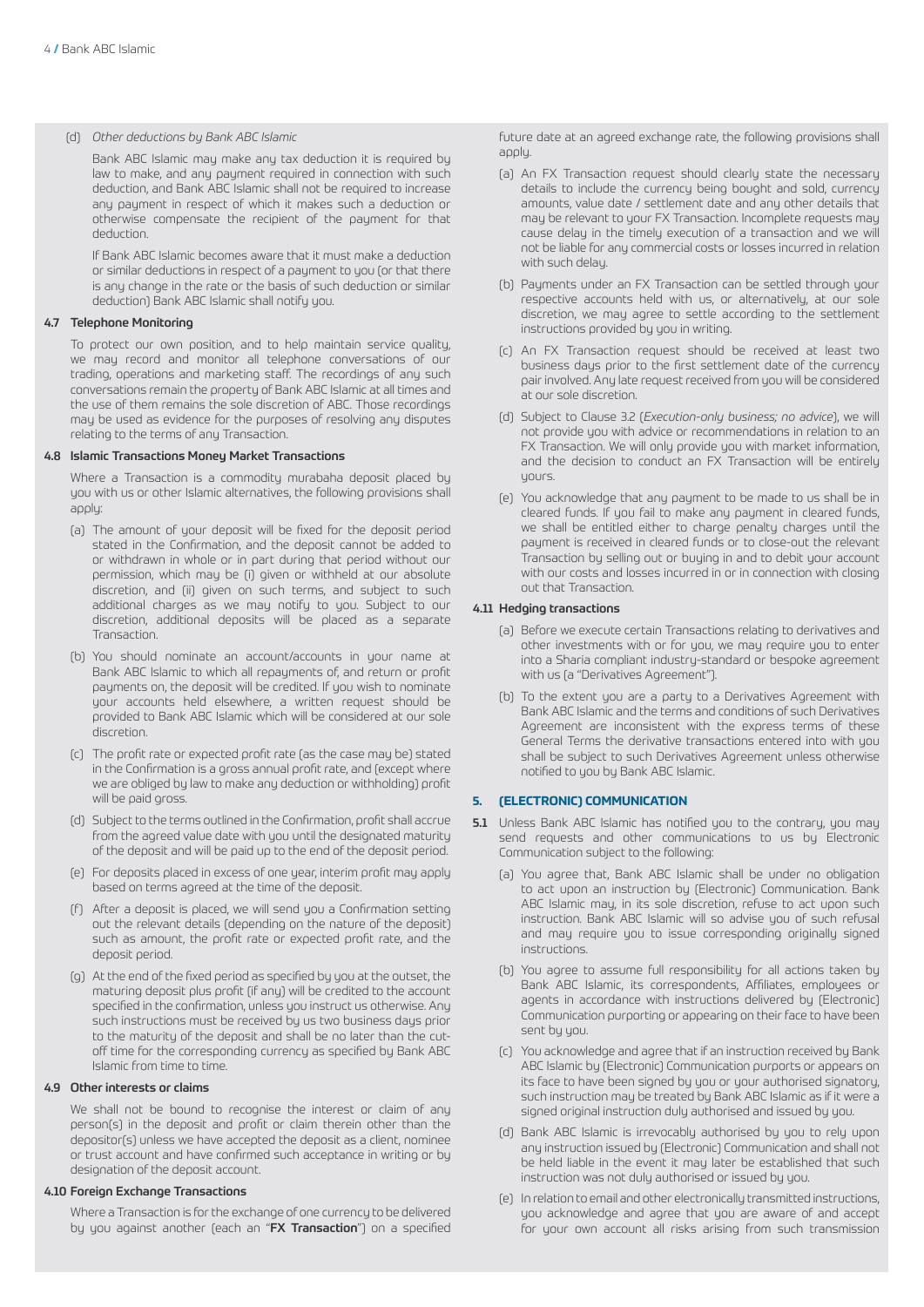## (d) *Other deductions by Bank ABC Islamic*

 Bank ABC Islamic may make any tax deduction it is required by law to make, and any payment required in connection with such deduction, and Bank ABC Islamic shall not be required to increase any payment in respect of which it makes such a deduction or otherwise compensate the recipient of the payment for that deduction.

 If Bank ABC Islamic becomes aware that it must make a deduction or similar deductions in respect of a payment to you (or that there is any change in the rate or the basis of such deduction or similar deduction) Bank ABC Islamic shall notify you.

#### 4.7 Telephone Monitoring

To protect our own position, and to help maintain service quality, we may record and monitor all telephone conversations of our trading, operations and marketing staff. The recordings of any such conversations remain the property of Bank ABC Islamic at all times and the use of them remains the sole discretion of ABC. Those recordings may be used as evidence for the purposes of resolving any disputes relating to the terms of any Transaction.

## 4.8 Islamic Transactions Money Market Transactions

Where a Transaction is a commodity murabaha deposit placed by you with us or other Islamic alternatives, the following provisions shall apply:

- (a) The amount of your deposit will be fixed for the deposit period stated in the Confirmation, and the deposit cannot be added to or withdrawn in whole or in part during that period without our permission, which may be (i) given or withheld at our absolute discretion, and (ii) given on such terms, and subject to such additional charges as we may notify to you. Subject to our discretion, additional deposits will be placed as a separate Transaction.
- (b) You should nominate an account/accounts in your name at Bank ABC Islamic to which all repayments of, and return or profit payments on, the deposit will be credited. If you wish to nominate your accounts held elsewhere, a written request should be provided to Bank ABC Islamic which will be considered at our sole discretion.
- (c) The profit rate or expected profit rate (as the case may be) stated in the Confirmation is a gross annual profit rate, and (except where we are obliged by law to make any deduction or withholding) profit will be paid gross.
- (d) Subject to the terms outlined in the Confirmation, profit shall accrue from the agreed value date with you until the designated maturity of the deposit and will be paid up to the end of the deposit period.
- (e) For deposits placed in excess of one year, interim profit may apply based on terms agreed at the time of the deposit.
- (f) After a deposit is placed, we will send you a Confirmation setting out the relevant details (depending on the nature of the deposit) such as amount, the profit rate or expected profit rate, and the deposit period.
- (g) At the end of the fixed period as specified by you at the outset, the maturing deposit plus profit (if any) will be credited to the account specified in the confirmation, unless you instruct us otherwise. Any such instructions must be received by us two business days prior to the maturity of the deposit and shall be no later than the cutoff time for the corresponding currency as specified by Bank ABC Islamic from time to time.

# 4.9 Other interests or claims

We shall not be bound to recognise the interest or claim of any person(s) in the deposit and profit or claim therein other than the depositor(s) unless we have accepted the deposit as a client, nominee or trust account and have confirmed such acceptance in writing or by designation of the deposit account.

## 4.10 Foreign Exchange Transactions

Where a Transaction is for the exchange of one currency to be delivered by you against another (each an "FX Transaction") on a specified future date at an agreed exchange rate, the following provisions shall annlu

- (a) An FX Transaction request should clearly state the necessary details to include the currency being bought and sold, currency amounts, value date / settlement date and any other details that may be relevant to your FX Transaction. Incomplete requests may cause delay in the timely execution of a transaction and we will not be liable for any commercial costs or losses incurred in relation with such delay.
- (b) Payments under an FX Transaction can be settled through your respective accounts held with us, or alternatively, at our sole discretion, we may agree to settle according to the settlement instructions provided by you in writing.
- (c) An FX Transaction request should be received at least two business days prior to the first settlement date of the currency pair involved. Any late request received from you will be considered at our sole discretion.
- (d) Subject to Clause 3.2 (*Execution-only business; no advice*), we will not provide you with advice or recommendations in relation to an FX Transaction. We will only provide you with market information, and the decision to conduct an FX Transaction will be entirely yours.
- (e) You acknowledge that any payment to be made to us shall be in cleared funds. If you fail to make any payment in cleared funds, we shall be entitled either to charge penalty charges until the payment is received in cleared funds or to close-out the relevant Transaction by selling out or buying in and to debit your account with our costs and losses incurred in or in connection with closing out that Transaction.

## 4.11 Hedging transactions

- (a) Before we execute certain Transactions relating to derivatives and other investments with or for you, we may require you to enter into a Sharia compliant industry-standard or bespoke agreement with us (a "Derivatives Agreement").
- (b) To the extent you are a party to a Derivatives Agreement with Bank ABC Islamic and the terms and conditions of such Derivatives Agreement are inconsistent with the express terms of these General Terms the derivative transactions entered into with you shall be subject to such Derivatives Agreement unless otherwise notified to you by Bank ABC Islamic.

# **5. (ELECTRONIC) COMMUNICATION**

- 5.1 Unless Bank ABC Islamic has notified you to the contrary, you may send requests and other communications to us by Electronic Communication subject to the following:
	- (a) You agree that, Bank ABC Islamic shall be under no obligation to act upon an instruction by (Electronic) Communication. Bank ABC Islamic may, in its sole discretion, refuse to act upon such instruction. Bank ABC Islamic will so advise you of such refusal and may require you to issue corresponding originally signed instructions.
	- (b) You agree to assume full responsibility for all actions taken by Bank ABC Islamic, its correspondents, Affiliates, employees or agents in accordance with instructions delivered by (Electronic) Communication purporting or appearing on their face to have been sent by you.
	- (c) You acknowledge and agree that if an instruction received by Bank ABC Islamic by (Electronic) Communication purports or appears on its face to have been signed by you or your authorised signatory, such instruction may be treated by Bank ABC Islamic as if it were a signed original instruction duly authorised and issued by you.
	- (d) Bank ABC Islamic is irrevocably authorised by you to rely upon any instruction issued by (Electronic) Communication and shall not be held liable in the event it may later be established that such instruction was not duly authorised or issued by you.
	- (e) In relation to email and other electronically transmitted instructions, you acknowledge and agree that you are aware of and accept for your own account all risks arising from such transmission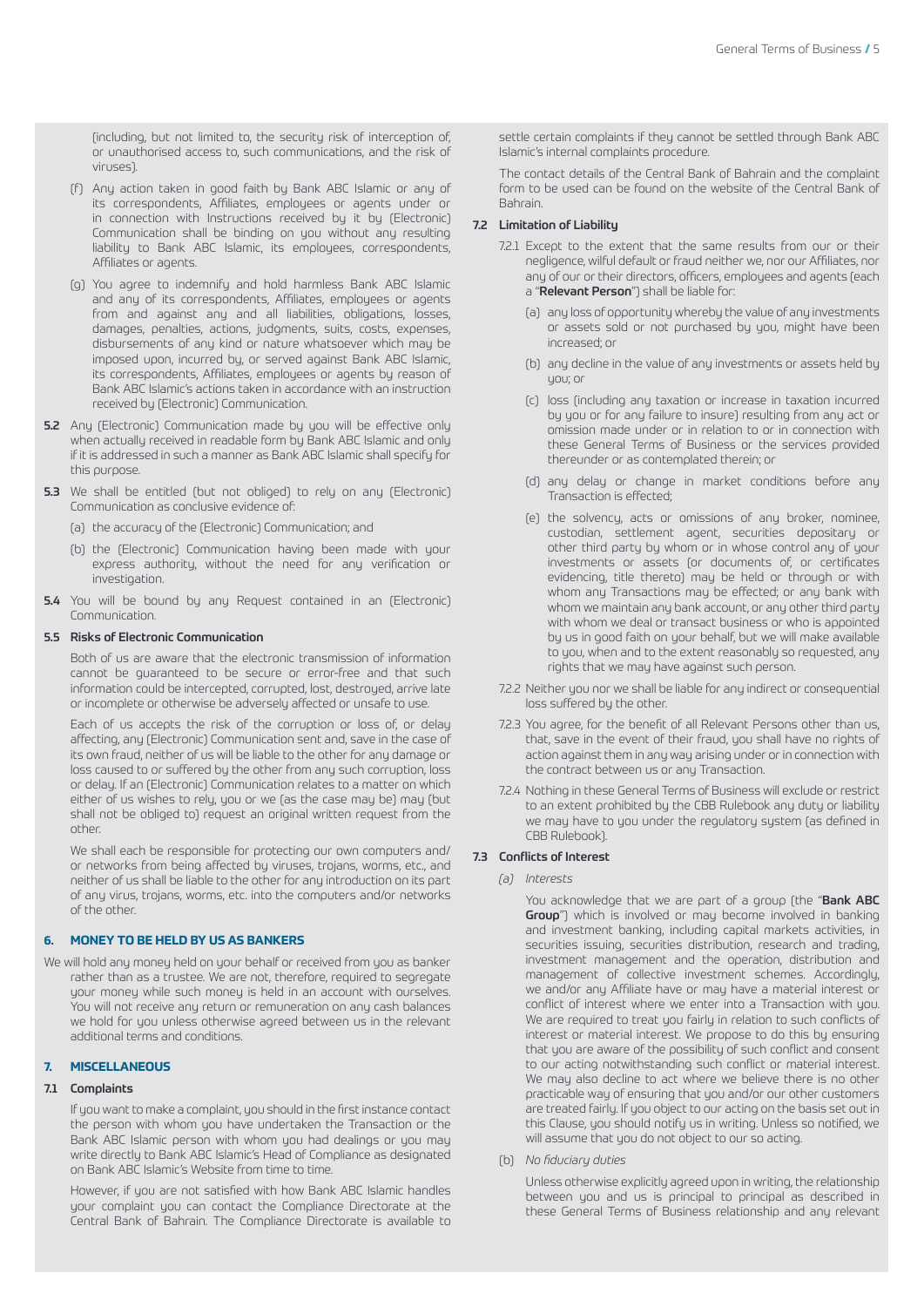(including, but not limited to, the security risk of interception of, or unauthorised access to, such communications, and the risk of viruses).

- (f) Any action taken in good faith by Bank ABC Islamic or any of its correspondents, Affiliates, employees or agents under or in connection with Instructions received by it by (Electronic) Communication shall be binding on you without any resulting liability to Bank ABC Islamic, its employees, correspondents, Affiliates or agents.
- (g) You agree to indemnify and hold harmless Bank ABC Islamic and any of its correspondents, Affiliates, employees or agents from and against any and all liabilities, obligations, losses, damages, penalties, actions, judgments, suits, costs, expenses, disbursements of any kind or nature whatsoever which may be imposed upon, incurred by, or served against Bank ABC Islamic, its correspondents, Affiliates, employees or agents by reason of Bank ABC Islamic's actions taken in accordance with an instruction received by (Electronic) Communication.
- 5.2 Any (Electronic) Communication made by you will be effective only when actually received in readable form by Bank ABC Islamic and only if it is addressed in such a manner as Bank ABC Islamic shall specify for this purpose.
- 5.3 We shall be entitled (but not obliged) to rely on any (Electronic) Communication as conclusive evidence of:
	- (a) the accuracy of the (Electronic) Communication; and
	- (b) the (Electronic) Communication having been made with your express authority, without the need for any verification or investigation.
- 5.4 You will be bound by any Request contained in an (Electronic) Communication.

## 5.5 Risks of Electronic Communication

Both of us are aware that the electronic transmission of information cannot be guaranteed to be secure or error-free and that such information could be intercepted, corrupted, lost, destroyed, arrive late or incomplete or otherwise be adversely affected or unsafe to use.

Each of us accepts the risk of the corruption or loss of, or delay affecting, any (Electronic) Communication sent and, save in the case of its own fraud, neither of us will be liable to the other for any damage or loss caused to or suffered by the other from any such corruption, loss or delay. If an (Electronic) Communication relates to a matter on which either of us wishes to rely, you or we (as the case may be) may (but shall not be obliged to) request an original written request from the other.

We shall each be responsible for protecting our own computers and/ or networks from being affected by viruses, trojans, worms, etc., and neither of us shall be liable to the other for any introduction on its part of any virus, trojans, worms, etc. into the computers and/or networks of the other.

# **6. MONEY TO BE HELD BY US AS BANKERS**

We will hold any money held on your behalf or received from you as banker rather than as a trustee. We are not, therefore, required to segregate your money while such money is held in an account with ourselves. You will not receive any return or remuneration on any cash balances we hold for you unless otherwise agreed between us in the relevant additional terms and conditions.

## **7. MISCELLANEOUS**

# 7.1 Complaints

If you want to make a complaint, you should in the first instance contact the person with whom you have undertaken the Transaction or the Bank ABC Islamic person with whom you had dealings or you may write directly to Bank ABC Islamic's Head of Compliance as designated on Bank ABC Islamic's Website from time to time.

However, if you are not satisfied with how Bank ABC Islamic handles your complaint you can contact the Compliance Directorate at the Central Bank of Bahrain. The Compliance Directorate is available to

settle certain complaints if they cannot be settled through Bank ABC Islamic's internal complaints procedure.

The contact details of the Central Bank of Bahrain and the complaint form to be used can be found on the website of the Central Bank of Bahrain.

# 7.2 Limitation of Liability

- 7.2.1 Except to the extent that the same results from our or their negligence, wilful default or fraud neither we, nor our Affiliates, nor any of our or their directors, officers, employees and agents (each a "**Relevant Person**") shall be liable for:
	- (a) any loss of opportunity whereby the value of any investments or assets sold or not purchased by you, might have been increased; or
	- (b) any decline in the value of any investments or assets held by you; or
	- (c) loss (including any taxation or increase in taxation incurred by you or for any failure to insure) resulting from any act or omission made under or in relation to or in connection with these General Terms of Business or the services provided thereunder or as contemplated therein; or
	- (d) any delay or change in market conditions before any Transaction is effected;
	- (e) the solvency, acts or omissions of any broker, nominee, custodian, settlement agent, securities depositary or other third party by whom or in whose control any of your investments or assets (or documents of, or certificates evidencing, title thereto) may be held or through or with whom any Transactions may be effected; or any bank with whom we maintain any bank account, or any other third party with whom we deal or transact business or who is appointed by us in good faith on your behalf, but we will make available to you, when and to the extent reasonably so requested, any rights that we may have against such person.
- 7.2.2 Neither you nor we shall be liable for any indirect or consequential loss suffered by the other.
- 7.2.3 You agree, for the benefit of all Relevant Persons other than us, that, save in the event of their fraud, you shall have no rights of action against them in any way arising under or in connection with the contract between us or any Transaction.
- 7.2.4 Nothing in these General Terms of Business will exclude or restrict to an extent prohibited by the CBB Rulebook any duty or liability we may have to you under the regulatory system (as defined in CBB Rulebook).

#### 7.3 Conflicts of Interest

*(a) Interests*

You acknowledge that we are part of a group (the "Bank ABC **Group**") which is involved or may become involved in banking and investment banking, including capital markets activities, in securities issuing, securities distribution, research and trading, investment management and the operation, distribution and management of collective investment schemes. Accordingly, we and/or any Affiliate have or may have a material interest or conflict of interest where we enter into a Transaction with you. We are required to treat you fairly in relation to such conflicts of interest or material interest. We propose to do this by ensuring that you are aware of the possibility of such conflict and consent to our acting notwithstanding such conflict or material interest. We may also decline to act where we believe there is no other practicable way of ensuring that you and/or our other customers are treated fairly. If you object to our acting on the basis set out in this Clause, you should notify us in writing. Unless so notified, we will assume that you do not object to our so acting.

(b) *No fiduciary duties*

 Unless otherwise explicitly agreed upon in writing, the relationship between you and us is principal to principal as described in these General Terms of Business relationship and any relevant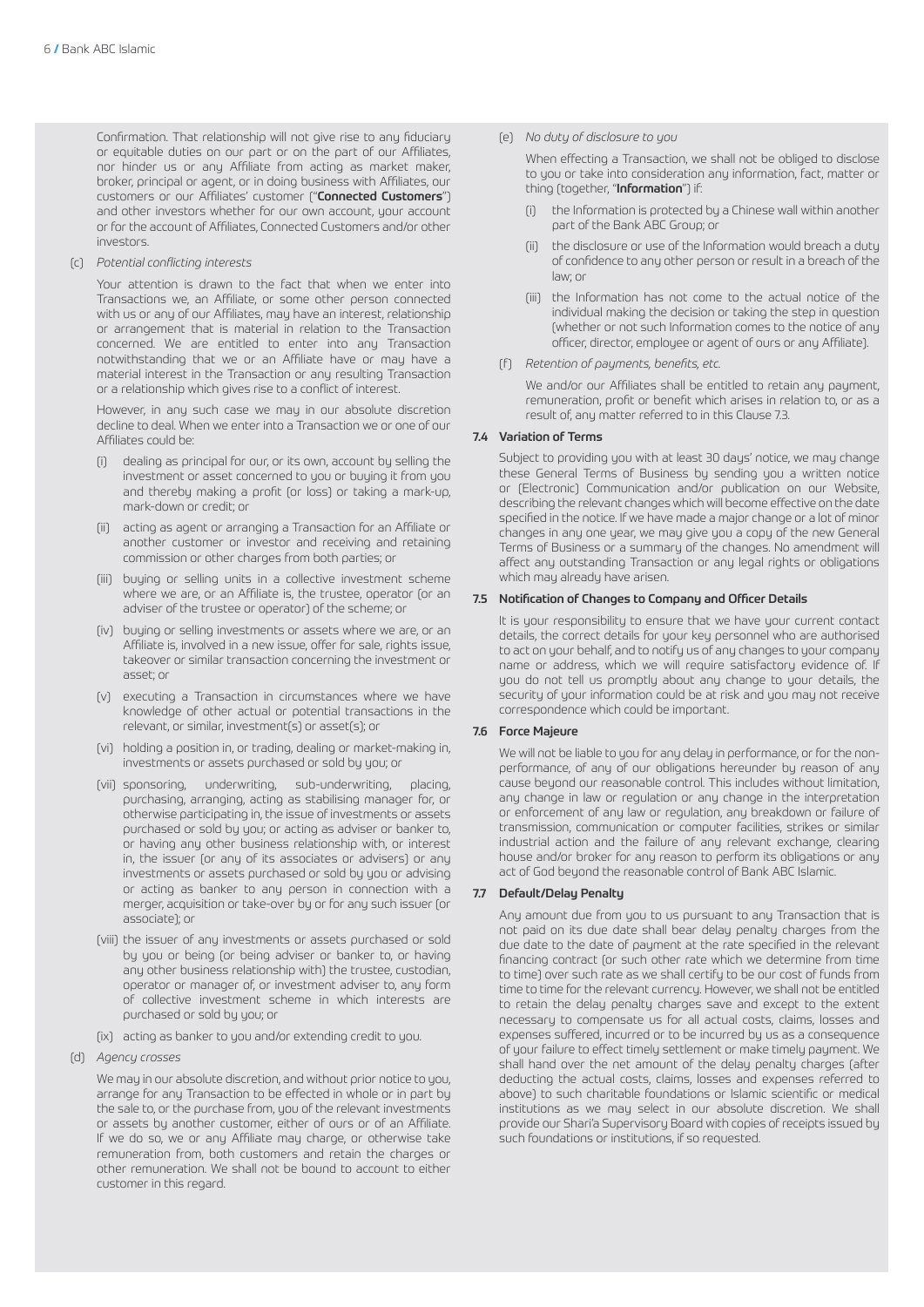Confirmation. That relationship will not give rise to any fiduciary or equitable duties on our part or on the part of our Affiliates, nor hinder us or any Affiliate from acting as market maker, broker, principal or agent, or in doing business with Affiliates, our customers or our Affiliates' customer ("Connected Customers") and other investors whether for our own account, your account or for the account of Affiliates, Connected Customers and/or other investors.

(c) *Potential conflicting interests*

 Your attention is drawn to the fact that when we enter into Transactions we, an Affiliate, or some other person connected with us or any of our Affiliates, may have an interest, relationship or arrangement that is material in relation to the Transaction concerned. We are entitled to enter into any Transaction notwithstanding that we or an Affiliate have or may have a material interest in the Transaction or any resulting Transaction or a relationship which gives rise to a conflict of interest.

 However, in any such case we may in our absolute discretion decline to deal. When we enter into a Transaction we or one of our Affiliates could be:

- dealing as principal for our, or its own, account by selling the investment or asset concerned to you or buying it from you and thereby making a profit (or loss) or taking a mark-up, mark-down or credit; or
- (ii) acting as agent or arranging a Transaction for an Affiliate or another customer or investor and receiving and retaining commission or other charges from both parties; or
- (iii) buying or selling units in a collective investment scheme where we are, or an Affiliate is, the trustee, operator (or an adviser of the trustee or operator) of the scheme; or
- (iv) buying or selling investments or assets where we are, or an Affiliate is, involved in a new issue, offer for sale, rights issue, takeover or similar transaction concerning the investment or asset; or
- (v) executing a Transaction in circumstances where we have knowledge of other actual or potential transactions in the relevant, or similar, investment(s) or asset(s); or
- (vi) holding a position in, or trading, dealing or market-making in, investments or assets purchased or sold by you; or
- (vii) sponsoring, underwriting, sub-underwriting, placing, purchasing, arranging, acting as stabilising manager for, or otherwise participating in, the issue of investments or assets purchased or sold by you; or acting as adviser or banker to, or having any other business relationship with, or interest in, the issuer (or any of its associates or advisers) or any investments or assets purchased or sold by you or advising or acting as banker to any person in connection with a merger, acquisition or take-over by or for any such issuer (or associate); or
- (viii) the issuer of any investments or assets purchased or sold by you or being (or being adviser or banker to, or having any other business relationship with) the trustee, custodian, operator or manager of, or investment adviser to, any form of collective investment scheme in which interests are purchased or sold by you; or
- (ix) acting as banker to you and/or extending credit to you.
- (d) *Agency crosses*

 We may in our absolute discretion, and without prior notice to you, arrange for any Transaction to be effected in whole or in part by the sale to, or the purchase from, you of the relevant investments or assets by another customer, either of ours or of an Affiliate. If we do so, we or any Affiliate may charge, or otherwise take remuneration from, both customers and retain the charges or other remuneration. We shall not be bound to account to either customer in this regard.

(e) *No duty of disclosure to you*

 When effecting a Transaction, we shall not be obliged to disclose to you or take into consideration any information, fact, matter or thing (together, "Information") if:

- (i) the Information is protected by a Chinese wall within another part of the Bank ABC Group; or
- (ii) the disclosure or use of the Information would breach a duty of confidence to any other person or result in a breach of the law; or
- (iii) the Information has not come to the actual notice of the individual making the decision or taking the step in question (whether or not such Information comes to the notice of any officer, director, employee or agent of ours or any Affiliate).
- (f) *Retention of payments, benefits, etc.*

 We and/or our Affiliates shall be entitled to retain any payment, remuneration, profit or benefit which arises in relation to, or as a result of, any matter referred to in this Clause 7.3.

# 7.4 Variation of Terms

Subject to providing you with at least 30 days' notice, we may change these General Terms of Business by sending you a written notice or (Electronic) Communication and/or publication on our Website, describing the relevant changes which will become effective on the date specified in the notice. If we have made a major change or a lot of minor changes in any one year, we may give you a copy of the new General Terms of Business or a summary of the changes. No amendment will affect any outstanding Transaction or any legal rights or obligations which may already have arisen.

#### 7.5 Notification of Changes to Company and Officer Details

It is your responsibility to ensure that we have your current contact details, the correct details for your key personnel who are authorised to act on your behalf, and to notify us of any changes to your company name or address, which we will require satisfactory evidence of. If you do not tell us promptly about any change to your details, the security of your information could be at risk and you may not receive correspondence which could be important.

#### 7.6 Force Majeure

We will not be liable to you for any delay in performance, or for the nonperformance, of any of our obligations hereunder by reason of any cause beyond our reasonable control. This includes without limitation, any change in law or regulation or any change in the interpretation or enforcement of any law or regulation, any breakdown or failure of transmission, communication or computer facilities, strikes or similar industrial action and the failure of any relevant exchange, clearing house and/or broker for any reason to perform its obligations or any act of God beyond the reasonable control of Bank ABC Islamic.

# 7.7 Default/Delay Penalty

Any amount due from you to us pursuant to any Transaction that is not paid on its due date shall bear delay penalty charges from the due date to the date of payment at the rate specified in the relevant financing contract (or such other rate which we determine from time to time) over such rate as we shall certify to be our cost of funds from time to time for the relevant currency. However, we shall not be entitled to retain the delay penalty charges save and except to the extent necessary to compensate us for all actual costs, claims, losses and expenses suffered, incurred or to be incurred by us as a consequence of your failure to effect timely settlement or make timely payment. We shall hand over the net amount of the delay penalty charges (after deducting the actual costs, claims, losses and expenses referred to above) to such charitable foundations or Islamic scientific or medical institutions as we may select in our absolute discretion. We shall provide our Shari'a Supervisory Board with copies of receipts issued by such foundations or institutions, if so requested.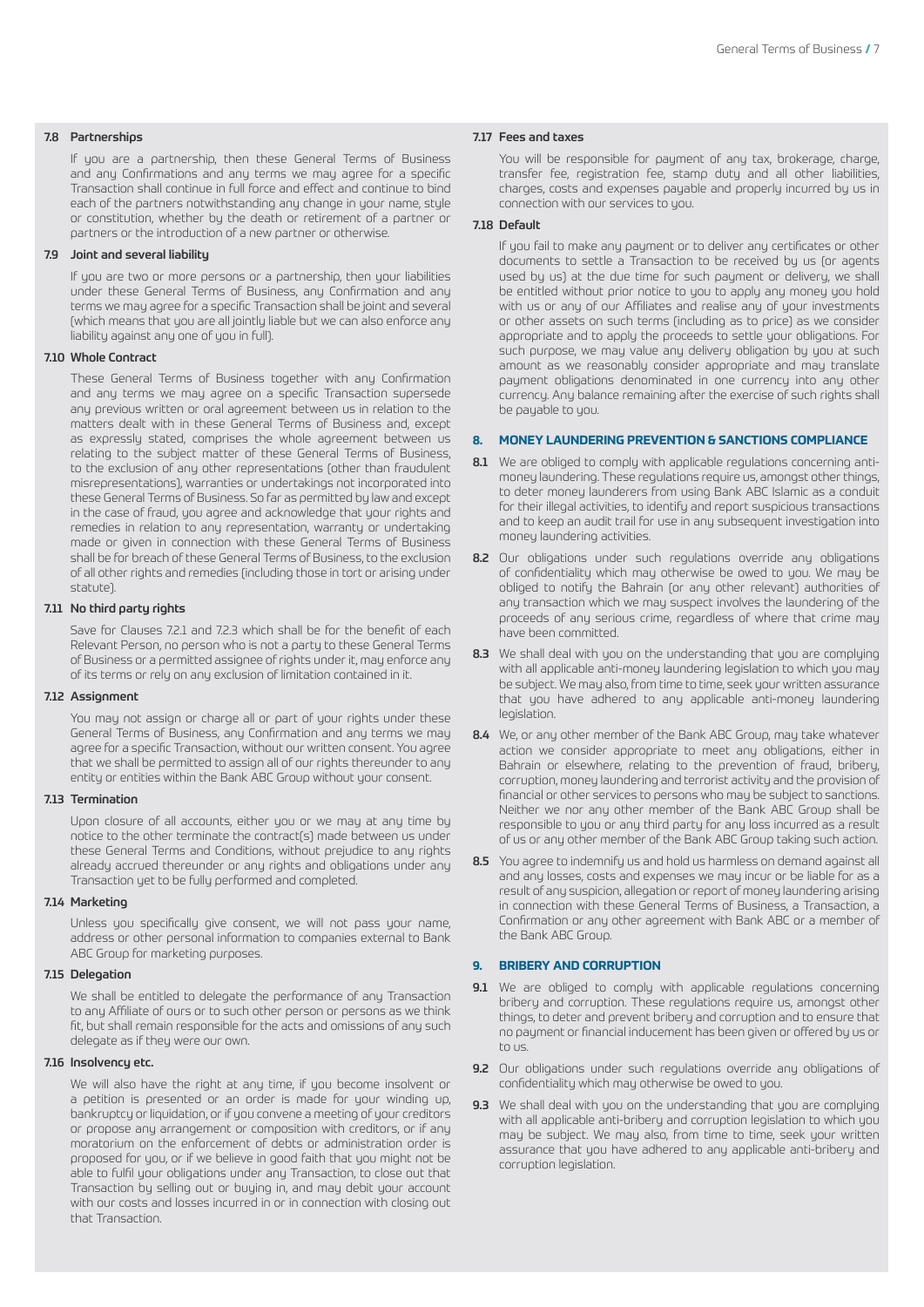#### 7.8 Partnerships

If you are a partnership, then these General Terms of Business and any Confirmations and any terms we may agree for a specific Transaction shall continue in full force and effect and continue to bind each of the partners notwithstanding any change in your name, style or constitution, whether by the death or retirement of a partner or partners or the introduction of a new partner or otherwise.

## 7.9 Joint and several liability

If you are two or more persons or a partnership, then your liabilities under these General Terms of Business, any Confirmation and any terms we may agree for a specific Transaction shall be joint and several (which means that you are all jointly liable but we can also enforce any liability against any one of you in full).

## 7.10 Whole Contract

These General Terms of Business together with any Confirmation and any terms we may agree on a specific Transaction supersede any previous written or oral agreement between us in relation to the matters dealt with in these General Terms of Business and, except as expressly stated, comprises the whole agreement between us relating to the subject matter of these General Terms of Business, to the exclusion of any other representations (other than fraudulent misrepresentations), warranties or undertakings not incorporated into these General Terms of Business. So far as permitted by law and except in the case of fraud, you agree and acknowledge that your rights and remedies in relation to any representation, warranty or undertaking made or given in connection with these General Terms of Business shall be for breach of these General Terms of Business, to the exclusion of all other rights and remedies (including those in tort or arising under statute).

#### 7.11 No third party rights

Save for Clauses 7.2.1 and 7.2.3 which shall be for the benefit of each Relevant Person, no person who is not a party to these General Terms of Business or a permitted assignee of rights under it, may enforce any of its terms or rely on any exclusion of limitation contained in it.

#### 7.12 Assignment

You may not assign or charge all or part of your rights under these General Terms of Business, any Confirmation and any terms we may agree for a specific Transaction, without our written consent. You agree that we shall be permitted to assign all of our rights thereunder to any entity or entities within the Bank ABC Group without your consent.

#### 7.13 Termination

Upon closure of all accounts, either you or we may at any time by notice to the other terminate the contract(s) made between us under these General Terms and Conditions, without prejudice to any rights already accrued thereunder or any rights and obligations under any Transaction yet to be fully performed and completed.

#### 7.14 Marketing

Unless you specifically give consent, we will not pass your name, address or other personal information to companies external to Bank ABC Group for marketing purposes.

#### 7.15 Delegation

We shall be entitled to delegate the performance of any Transaction to any Affiliate of ours or to such other person or persons as we think fit, but shall remain responsible for the acts and omissions of any such delegate as if they were our own.

# 7.16 Insolvency etc.

We will also have the right at any time, if you become insolvent or a petition is presented or an order is made for your winding up, bankruptcy or liquidation, or if you convene a meeting of your creditors or propose any arrangement or composition with creditors, or if any moratorium on the enforcement of debts or administration order is proposed for you, or if we believe in good faith that you might not be able to fulfil your obligations under any Transaction, to close out that Transaction by selling out or buying in, and may debit your account with our costs and losses incurred in or in connection with closing out that Transaction.

#### 7.17 Fees and taxes

You will be responsible for payment of any tax, brokerage, charge, transfer fee, registration fee, stamp duty and all other liabilities, charges, costs and expenses payable and properly incurred by us in connection with our services to you.

# 7.18 Default

If you fail to make any payment or to deliver any certificates or other documents to settle a Transaction to be received by us (or agents used by us) at the due time for such payment or delivery, we shall be entitled without prior notice to you to apply any money you hold with us or any of our Affiliates and realise any of your investments or other assets on such terms (including as to price) as we consider appropriate and to apply the proceeds to settle your obligations. For such purpose, we may value any delivery obligation by you at such amount as we reasonably consider appropriate and may translate payment obligations denominated in one currency into any other currency. Any balance remaining after the exercise of such rights shall be payable to you.

# **8. MONEY LAUNDERING PREVENTION & SANCTIONS COMPLIANCE**

- 8.1 We are obliged to comply with applicable regulations concerning antimoney laundering. These regulations require us, amongst other things, to deter money launderers from using Bank ABC Islamic as a conduit for their illegal activities, to identify and report suspicious transactions and to keep an audit trail for use in any subsequent investigation into money laundering activities.
- 8.2 Our obligations under such regulations override any obligations of confidentiality which may otherwise be owed to you. We may be obliged to notify the Bahrain (or any other relevant) authorities of any transaction which we may suspect involves the laundering of the proceeds of any serious crime, regardless of where that crime may have been committed.
- 8.3 We shall deal with you on the understanding that you are complying with all applicable anti-money laundering legislation to which you may be subject. We may also, from time to time, seek your written assurance that you have adhered to any applicable anti-money laundering legislation.
- 8.4 We, or any other member of the Bank ABC Group, may take whatever action we consider appropriate to meet any obligations, either in Bahrain or elsewhere, relating to the prevention of fraud, bribery, corruption, money laundering and terrorist activity and the provision of financial or other services to persons who may be subject to sanctions. Neither we nor any other member of the Bank ABC Group shall be responsible to you or any third party for any loss incurred as a result of us or any other member of the Bank ABC Group taking such action.
- 8.5 You agree to indemnify us and hold us harmless on demand against all and any losses, costs and expenses we may incur or be liable for as a result of any suspicion, allegation or report of money laundering arising in connection with these General Terms of Business, a Transaction, a Confirmation or any other agreement with Bank ABC or a member of the Bank ABC Group.

## **9. BRIBERY AND CORRUPTION**

- 9.1 We are obliged to comply with applicable regulations concerning bribery and corruption. These regulations require us, amongst other things, to deter and prevent bribery and corruption and to ensure that no payment or financial inducement has been given or offered by us or to us.
- 9.2 Our obligations under such regulations override any obligations of confidentiality which may otherwise be owed to you.
- 9.3 We shall deal with you on the understanding that you are complying with all applicable anti-bribery and corruption legislation to which you may be subject. We may also, from time to time, seek your written assurance that you have adhered to any applicable anti-bribery and corruption legislation.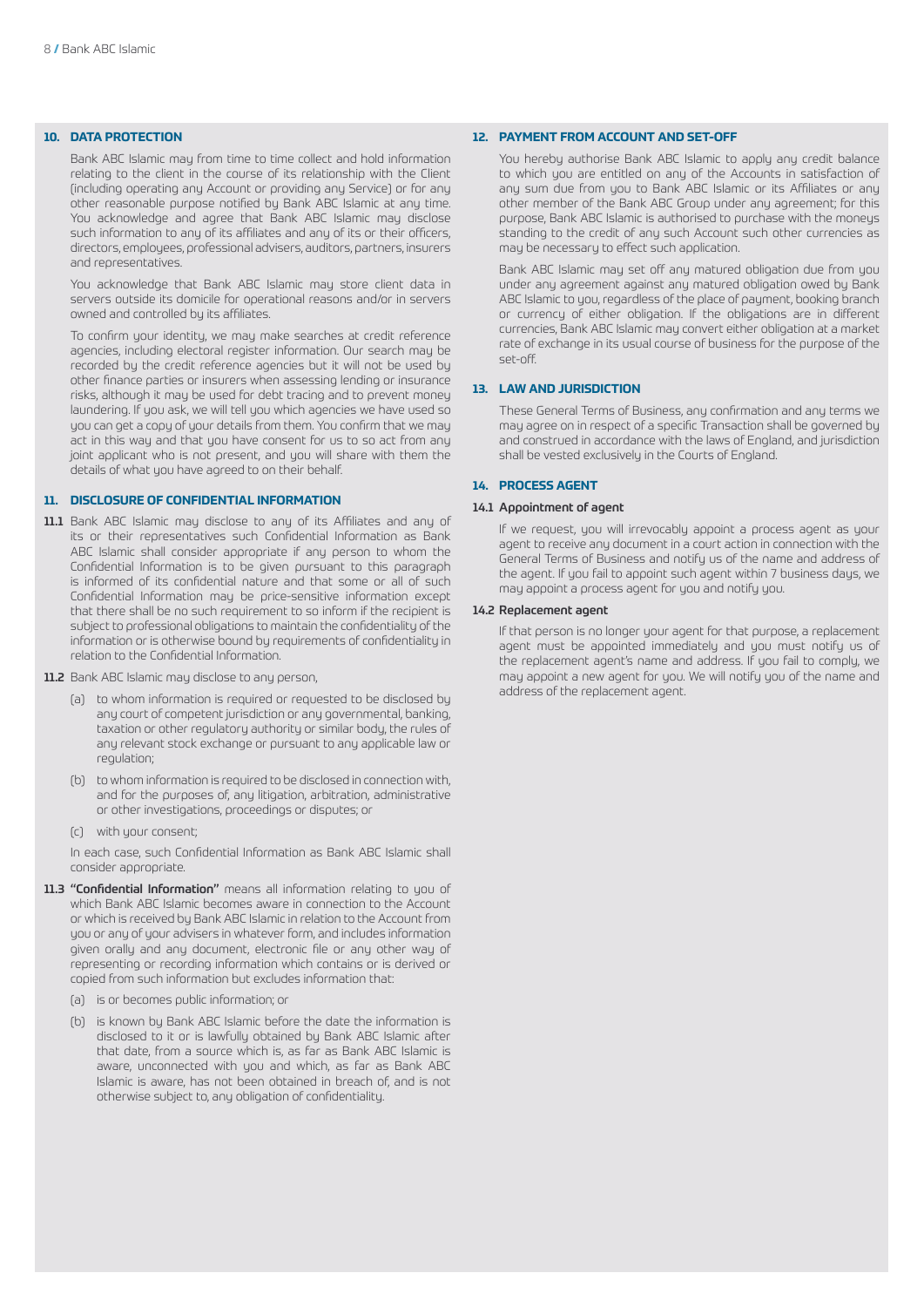# **10. DATA PROTECTION**

Bank ABC Islamic may from time to time collect and hold information relating to the client in the course of its relationship with the Client (including operating any Account or providing any Service) or for any other reasonable purpose notified by Bank ABC Islamic at any time. You acknowledge and agree that Bank ABC Islamic may disclose such information to any of its affiliates and any of its or their officers, directors, employees, professional advisers, auditors, partners, insurers and representatives.

You acknowledge that Bank ABC Islamic may store client data in servers outside its domicile for operational reasons and/or in servers owned and controlled by its affiliates.

To confirm your identity, we may make searches at credit reference agencies, including electoral register information. Our search may be recorded by the credit reference agencies but it will not be used by other finance parties or insurers when assessing lending or insurance risks, although it may be used for debt tracing and to prevent money laundering. If you ask, we will tell you which agencies we have used so you can get a copy of your details from them. You confirm that we may act in this way and that you have consent for us to so act from any joint applicant who is not present, and you will share with them the details of what you have agreed to on their behalf.

# **11. DISCLOSURE OF CONFIDENTIAL INFORMATION**

- 11.1 Bank ABC Islamic may disclose to any of its Affiliates and any of its or their representatives such Confidential Information as Bank ABC Islamic shall consider appropriate if any person to whom the Confidential Information is to be given pursuant to this paragraph is informed of its confidential nature and that some or all of such Confidential Information may be price-sensitive information except that there shall be no such requirement to so inform if the recipient is subject to professional obligations to maintain the confidentiality of the information or is otherwise bound by requirements of confidentiality in relation to the Confidential Information.
- 11.2 Bank ABC Islamic may disclose to any person,
	- (a) to whom information is required or requested to be disclosed by any court of competent jurisdiction or any governmental, banking, taxation or other regulatory authority or similar body, the rules of any relevant stock exchange or pursuant to any applicable law or regulation;
	- (b) to whom information is required to be disclosed in connection with, and for the purposes of, any litigation, arbitration, administrative or other investigations, proceedings or disputes; or
	- (c) with your consent;

In each case, such Confidential Information as Bank ABC Islamic shall consider appropriate.

- 11.3 "Confidential Information" means all information relating to you of which Bank ABC Islamic becomes aware in connection to the Account or which is received by Bank ABC Islamic in relation to the Account from you or any of your advisers in whatever form, and includes information given orally and any document, electronic file or any other way of representing or recording information which contains or is derived or copied from such information but excludes information that:
	- (a) is or becomes public information; or
	- (b) is known by Bank ABC Islamic before the date the information is disclosed to it or is lawfully obtained by Bank ABC Islamic after that date, from a source which is, as far as Bank ABC Islamic is aware, unconnected with you and which, as far as Bank ABC Islamic is aware, has not been obtained in breach of, and is not otherwise subject to, any obligation of confidentiality.

### **12. PAYMENT FROM ACCOUNT AND SET-OFF**

You hereby authorise Bank ABC Islamic to apply any credit balance to which you are entitled on any of the Accounts in satisfaction of any sum due from you to Bank ABC Islamic or its Affiliates or any other member of the Bank ABC Group under any agreement; for this purpose, Bank ABC Islamic is authorised to purchase with the moneys standing to the credit of any such Account such other currencies as may be necessary to effect such application.

Bank ABC Islamic may set off any matured obligation due from you under any agreement against any matured obligation owed by Bank ABC Islamic to you, regardless of the place of payment, booking branch or currency of either obligation. If the obligations are in different currencies, Bank ABC Islamic may convert either obligation at a market rate of exchange in its usual course of business for the purpose of the set-off.

# **13. LAW AND JURISDICTION**

These General Terms of Business, any confirmation and any terms we may agree on in respect of a specific Transaction shall be governed by and construed in accordance with the laws of England, and jurisdiction shall be vested exclusively in the Courts of England.

# **14. PROCESS AGENT**

#### 14.1 Appointment of agent

If we request, you will irrevocably appoint a process agent as your agent to receive any document in a court action in connection with the General Terms of Business and notify us of the name and address of the agent. If you fail to appoint such agent within 7 business days, we may appoint a process agent for you and notify you.

#### 14.2 Replacement agent

If that person is no longer your agent for that purpose, a replacement agent must be appointed immediately and you must notify us of the replacement agent's name and address. If you fail to comply, we may appoint a new agent for you. We will notify you of the name and address of the replacement agent.